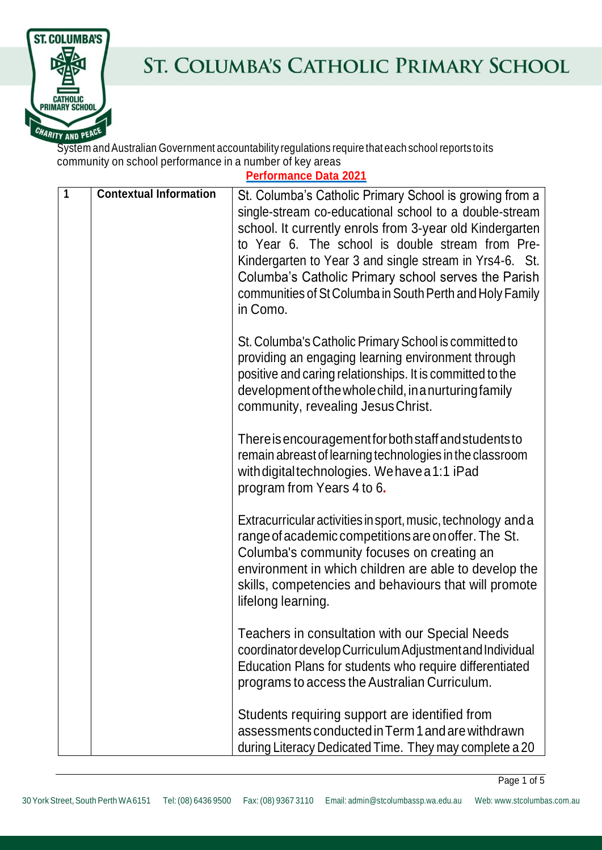

## ST. COLUMBA'S CATHOLIC PRIMARY SCHOOL

System andAustralian Government accountability regulations require that each school reports toits community on school performance in a number of key areas

**Performance Data 2021**

| $\mathbf{1}$ | <b>Contextual Information</b> | St. Columba's Catholic Primary School is growing from a<br>single-stream co-educational school to a double-stream<br>school. It currently enrols from 3-year old Kindergarten<br>to Year 6. The school is double stream from Pre-<br>Kindergarten to Year 3 and single stream in Yrs4-6. St.<br>Columba's Catholic Primary school serves the Parish<br>communities of St Columba in South Perth and Holy Family<br>in Como. |
|--------------|-------------------------------|-----------------------------------------------------------------------------------------------------------------------------------------------------------------------------------------------------------------------------------------------------------------------------------------------------------------------------------------------------------------------------------------------------------------------------|
|              |                               | St. Columba's Catholic Primary School is committed to<br>providing an engaging learning environment through<br>positive and caring relationships. It is committed to the<br>development of the whole child, in a nurturing family<br>community, revealing Jesus Christ.                                                                                                                                                     |
|              |                               | There is encouragement for both staff and students to<br>remain abreast of learning technologies in the classroom<br>with digital technologies. We have a 1:1 iPad<br>program from Years 4 to 6.                                                                                                                                                                                                                            |
|              |                               | Extracurricular activities in sport, music, technology and a<br>range of academic competitions are on offer. The St.<br>Columba's community focuses on creating an<br>environment in which children are able to develop the<br>skills, competencies and behaviours that will promote<br>lifelong learning.                                                                                                                  |
|              |                               | Teachers in consultation with our Special Needs<br>coordinator develop Curriculum Adjustment and Individual<br>Education Plans for students who require differentiated<br>programs to access the Australian Curriculum.                                                                                                                                                                                                     |
|              |                               | Students requiring support are identified from<br>assessments conducted in Term 1 and are withdrawn<br>during Literacy Dedicated Time. They may complete a 20                                                                                                                                                                                                                                                               |

Page 1 of 5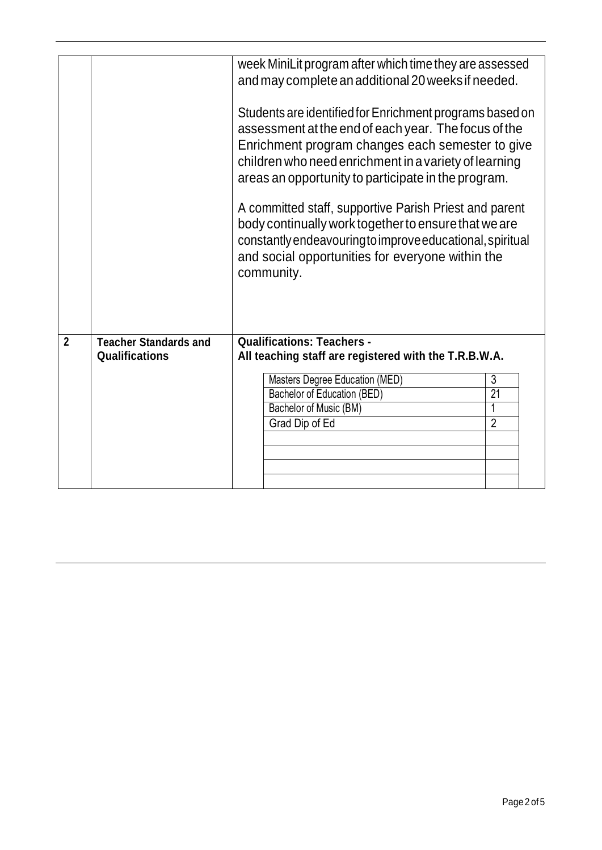|                |                                                       | week MiniLit program after which time they are assessed<br>and may complete an additional 20 weeks if needed.<br>Students are identified for Enrichment programs based on<br>assessment at the end of each year. The focus of the<br>Enrichment program changes each semester to give<br>children who need enrichment in a variety of learning<br>areas an opportunity to participate in the program.<br>A committed staff, supportive Parish Priest and parent<br>body continually work together to ensure that we are<br>constantly endeavouring to improve educational, spiritual<br>and social opportunities for everyone within the<br>community. |                 |
|----------------|-------------------------------------------------------|--------------------------------------------------------------------------------------------------------------------------------------------------------------------------------------------------------------------------------------------------------------------------------------------------------------------------------------------------------------------------------------------------------------------------------------------------------------------------------------------------------------------------------------------------------------------------------------------------------------------------------------------------------|-----------------|
| $\overline{2}$ | <b>Teacher Standards and</b><br><b>Qualifications</b> | <b>Qualifications: Teachers -</b><br>All teaching staff are registered with the T.R.B.W.A.                                                                                                                                                                                                                                                                                                                                                                                                                                                                                                                                                             |                 |
|                |                                                       | Masters Degree Education (MED)                                                                                                                                                                                                                                                                                                                                                                                                                                                                                                                                                                                                                         | 3               |
|                |                                                       | Bachelor of Education (BED)                                                                                                                                                                                                                                                                                                                                                                                                                                                                                                                                                                                                                            | $\overline{21}$ |
|                |                                                       | Bachelor of Music (BM)                                                                                                                                                                                                                                                                                                                                                                                                                                                                                                                                                                                                                                 |                 |
|                |                                                       | Grad Dip of Ed                                                                                                                                                                                                                                                                                                                                                                                                                                                                                                                                                                                                                                         | $\overline{2}$  |
|                |                                                       |                                                                                                                                                                                                                                                                                                                                                                                                                                                                                                                                                                                                                                                        |                 |
|                |                                                       |                                                                                                                                                                                                                                                                                                                                                                                                                                                                                                                                                                                                                                                        |                 |
|                |                                                       |                                                                                                                                                                                                                                                                                                                                                                                                                                                                                                                                                                                                                                                        |                 |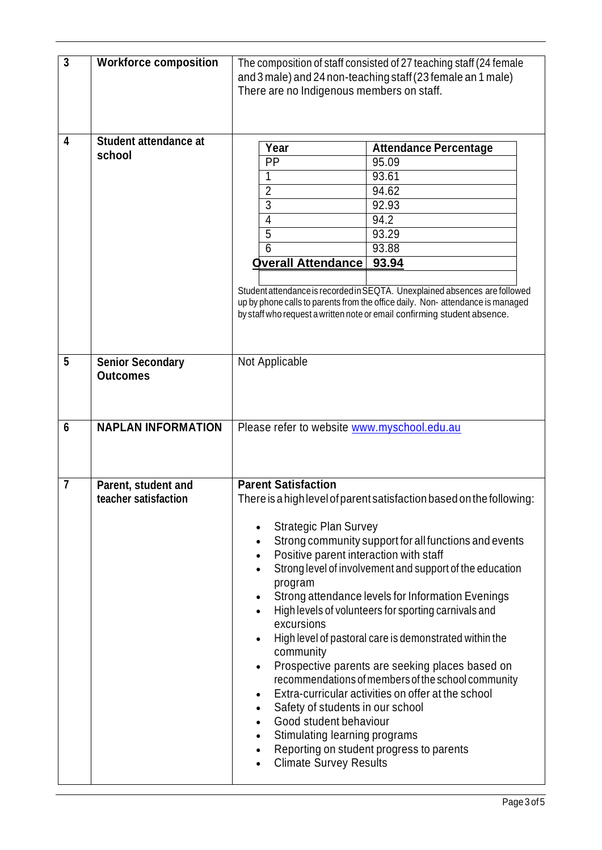| $\mathbf{3}$   | <b>Workforce composition</b>                | The composition of staff consisted of 27 teaching staff (24 female<br>and 3 male) and 24 non-teaching staff (23 female an 1 male)<br>There are no Indigenous members on staff.                                                                                                                                                                                                                                                                                                                                                                                                                                                                                                                                                                                                                                                                                                                                |
|----------------|---------------------------------------------|---------------------------------------------------------------------------------------------------------------------------------------------------------------------------------------------------------------------------------------------------------------------------------------------------------------------------------------------------------------------------------------------------------------------------------------------------------------------------------------------------------------------------------------------------------------------------------------------------------------------------------------------------------------------------------------------------------------------------------------------------------------------------------------------------------------------------------------------------------------------------------------------------------------|
| 4              | <b>Student attendance at</b><br>school      | Year<br><b>Attendance Percentage</b><br>PP<br>95.09<br>93.61<br>1<br>$\overline{2}$<br>94.62<br>$\overline{3}$<br>92.93<br>$\overline{4}$<br>94.2<br>5<br>93.29<br>6<br>93.88<br><b>Overall Attendance</b><br>93.94<br>Student attendance is recorded in SEQTA. Unexplained absences are followed<br>up by phone calls to parents from the office daily. Non-attendance is managed<br>by staff who request a written note or email confirming student absence.                                                                                                                                                                                                                                                                                                                                                                                                                                                |
| 5              | <b>Senior Secondary</b><br><b>Outcomes</b>  | Not Applicable                                                                                                                                                                                                                                                                                                                                                                                                                                                                                                                                                                                                                                                                                                                                                                                                                                                                                                |
| 6              | <b>NAPLAN INFORMATION</b>                   | Please refer to website www.myschool.edu.au                                                                                                                                                                                                                                                                                                                                                                                                                                                                                                                                                                                                                                                                                                                                                                                                                                                                   |
| $\overline{7}$ | Parent, student and<br>teacher satisfaction | <b>Parent Satisfaction</b><br>There is a high level of parent satisfaction based on the following:<br><b>Strategic Plan Survey</b><br>Strong community support for all functions and events<br>Positive parent interaction with staff<br>$\bullet$<br>Strong level of involvement and support of the education<br>program<br>Strong attendance levels for Information Evenings<br>$\bullet$<br>High levels of volunteers for sporting carnivals and<br>excursions<br>High level of pastoral care is demonstrated within the<br>$\bullet$<br>community<br>Prospective parents are seeking places based on<br>$\bullet$<br>recommendations of members of the school community<br>Extra-curricular activities on offer at the school<br>Safety of students in our school<br>Good student behaviour<br>Stimulating learning programs<br>Reporting on student progress to parents<br><b>Climate Survey Results</b> |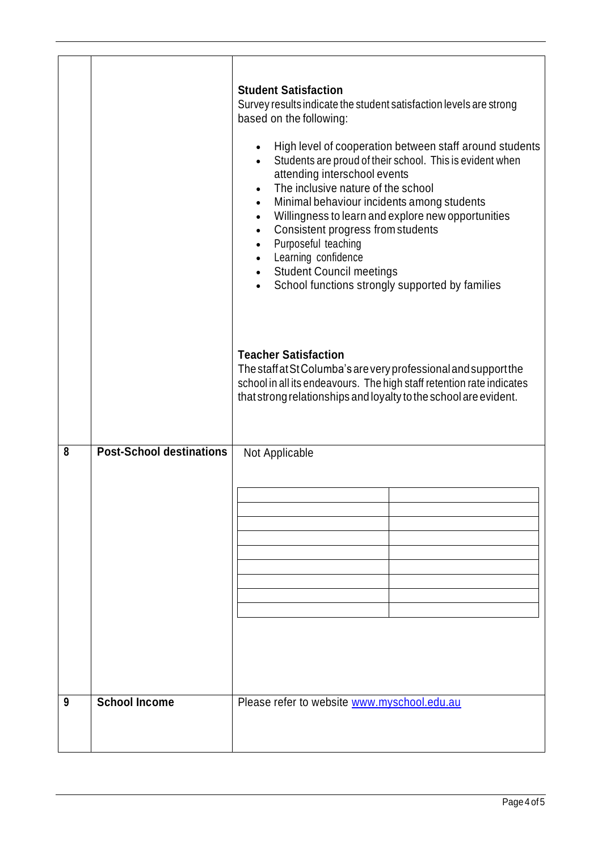|        |                                                         | <b>Student Satisfaction</b><br>Survey results indicate the student satisfaction levels are strong<br>based on the following:<br>High level of cooperation between staff around students<br>$\bullet$<br>Students are proud of their school. This is evident when<br>$\bullet$<br>attending interschool events<br>The inclusive nature of the school<br>$\bullet$<br>Minimal behaviour incidents among students<br>$\bullet$<br>Willingness to learn and explore new opportunities<br>$\bullet$<br>Consistent progress from students<br>$\bullet$<br>Purposeful teaching<br>$\bullet$<br>Learning confidence<br>$\bullet$<br><b>Student Council meetings</b><br>$\bullet$<br>School functions strongly supported by families<br>$\bullet$<br><b>Teacher Satisfaction</b><br>The staff at St Columba's are very professional and support the<br>school in all its endeavours. The high staff retention rate indicates<br>that strong relationships and loyalty to the school are evident. |
|--------|---------------------------------------------------------|-----------------------------------------------------------------------------------------------------------------------------------------------------------------------------------------------------------------------------------------------------------------------------------------------------------------------------------------------------------------------------------------------------------------------------------------------------------------------------------------------------------------------------------------------------------------------------------------------------------------------------------------------------------------------------------------------------------------------------------------------------------------------------------------------------------------------------------------------------------------------------------------------------------------------------------------------------------------------------------------|
| 8<br>9 | <b>Post-School destinations</b><br><b>School Income</b> | Not Applicable<br>Please refer to website www.myschool.edu.au                                                                                                                                                                                                                                                                                                                                                                                                                                                                                                                                                                                                                                                                                                                                                                                                                                                                                                                           |
|        |                                                         |                                                                                                                                                                                                                                                                                                                                                                                                                                                                                                                                                                                                                                                                                                                                                                                                                                                                                                                                                                                         |